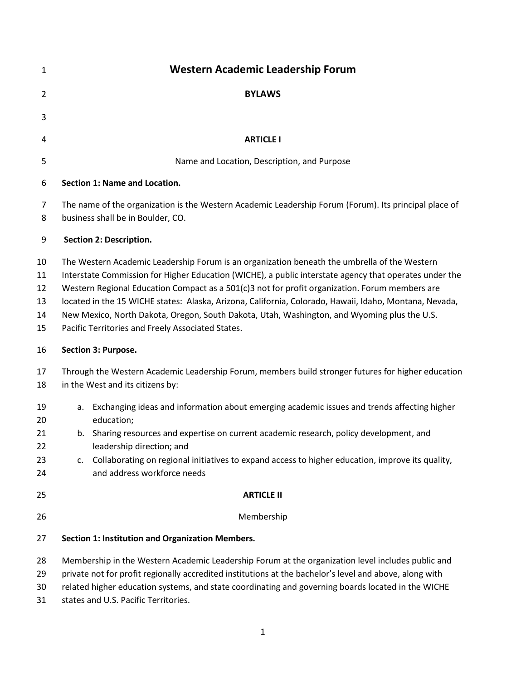| 1                                | <b>Western Academic Leadership Forum</b>                                                                                                                                                                                                                                                                                                                                                                                                                                                                                                                               |
|----------------------------------|------------------------------------------------------------------------------------------------------------------------------------------------------------------------------------------------------------------------------------------------------------------------------------------------------------------------------------------------------------------------------------------------------------------------------------------------------------------------------------------------------------------------------------------------------------------------|
| $\overline{2}$                   | <b>BYLAWS</b>                                                                                                                                                                                                                                                                                                                                                                                                                                                                                                                                                          |
| 3                                |                                                                                                                                                                                                                                                                                                                                                                                                                                                                                                                                                                        |
| 4                                | <b>ARTICLE I</b>                                                                                                                                                                                                                                                                                                                                                                                                                                                                                                                                                       |
| 5                                | Name and Location, Description, and Purpose                                                                                                                                                                                                                                                                                                                                                                                                                                                                                                                            |
| 6                                | <b>Section 1: Name and Location.</b>                                                                                                                                                                                                                                                                                                                                                                                                                                                                                                                                   |
| 7<br>8                           | The name of the organization is the Western Academic Leadership Forum (Forum). Its principal place of<br>business shall be in Boulder, CO.                                                                                                                                                                                                                                                                                                                                                                                                                             |
| 9                                | Section 2: Description.                                                                                                                                                                                                                                                                                                                                                                                                                                                                                                                                                |
| 10<br>11<br>12<br>13<br>14<br>15 | The Western Academic Leadership Forum is an organization beneath the umbrella of the Western<br>Interstate Commission for Higher Education (WICHE), a public interstate agency that operates under the<br>Western Regional Education Compact as a 501(c)3 not for profit organization. Forum members are<br>located in the 15 WICHE states: Alaska, Arizona, California, Colorado, Hawaii, Idaho, Montana, Nevada,<br>New Mexico, North Dakota, Oregon, South Dakota, Utah, Washington, and Wyoming plus the U.S.<br>Pacific Territories and Freely Associated States. |
| 16                               | Section 3: Purpose.                                                                                                                                                                                                                                                                                                                                                                                                                                                                                                                                                    |
| 17<br>18                         | Through the Western Academic Leadership Forum, members build stronger futures for higher education<br>in the West and its citizens by:                                                                                                                                                                                                                                                                                                                                                                                                                                 |
| 19<br>20<br>21<br>22<br>23<br>24 | Exchanging ideas and information about emerging academic issues and trends affecting higher<br>а.<br>education;<br>b. Sharing resources and expertise on current academic research, policy development, and<br>leadership direction; and<br>Collaborating on regional initiatives to expand access to higher education, improve its quality,<br>c.<br>and address workforce needs                                                                                                                                                                                      |
| 25                               | <b>ARTICLE II</b>                                                                                                                                                                                                                                                                                                                                                                                                                                                                                                                                                      |
| 26                               | Membership                                                                                                                                                                                                                                                                                                                                                                                                                                                                                                                                                             |
| 27                               | Section 1: Institution and Organization Members.                                                                                                                                                                                                                                                                                                                                                                                                                                                                                                                       |
| 28<br>29<br>30<br>31             | Membership in the Western Academic Leadership Forum at the organization level includes public and<br>private not for profit regionally accredited institutions at the bachelor's level and above, along with<br>related higher education systems, and state coordinating and governing boards located in the WICHE<br>states and U.S. Pacific Territories.                                                                                                                                                                                                             |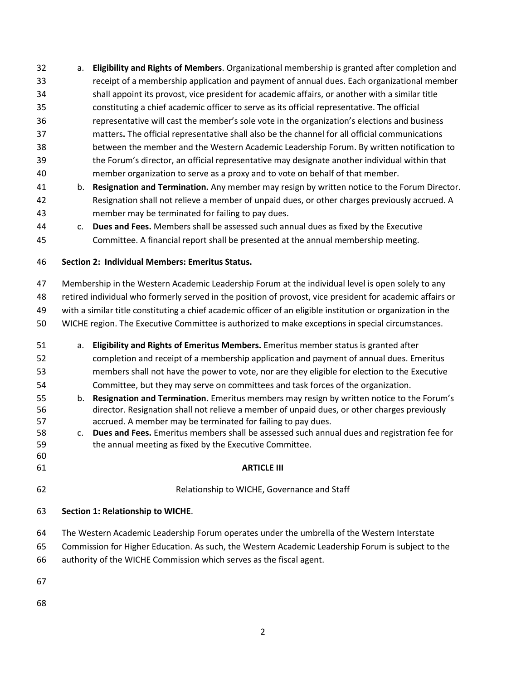a. **Eligibility and Rights of Members**. Organizational membership is granted after completion and receipt of a membership application and payment of annual dues. Each organizational member shall appoint its provost, vice president for academic affairs, or another with a similar title constituting a chief academic officer to serve as its official representative. The official representative will cast the member's sole vote in the organization's elections and business matters**.** The official representative shall also be the channel for all official communications between the member and the Western Academic Leadership Forum. By written notification to the Forum's director, an official representative may designate another individual within that member organization to serve as a proxy and to vote on behalf of that member. b. **Resignation and Termination.** Any member may resign by written notice to the Forum Director. Resignation shall not relieve a member of unpaid dues, or other charges previously accrued. A member may be terminated for failing to pay dues. c. **Dues and Fees.** Members shall be assessed such annual dues as fixed by the Executive Committee. A financial report shall be presented at the annual membership meeting. **Section 2: Individual Members: Emeritus Status.** Membership in the Western Academic Leadership Forum at the individual level is open solely to any retired individual who formerly served in the position of provost, vice president for academic affairs or with a similar title constituting a chief academic officer of an eligible institution or organization in the WICHE region. The Executive Committee is authorized to make exceptions in special circumstances. a. **Eligibility and Rights of Emeritus Members.** Emeritus member status is granted after completion and receipt of a membership application and payment of annual dues. Emeritus members shall not have the power to vote, nor are they eligible for election to the Executive Committee, but they may serve on committees and task forces of the organization. b. **Resignation and Termination.** Emeritus members may resign by written notice to the Forum's director. Resignation shall not relieve a member of unpaid dues, or other charges previously accrued. A member may be terminated for failing to pay dues. c. **Dues and Fees.** Emeritus members shall be assessed such annual dues and registration fee for the annual meeting as fixed by the Executive Committee. **ARTICLE III** Relationship to WICHE, Governance and Staff **Section 1: Relationship to WICHE**. The Western Academic Leadership Forum operates under the umbrella of the Western Interstate Commission for Higher Education. As such, the Western Academic Leadership Forum is subject to the authority of the WICHE Commission which serves as the fiscal agent.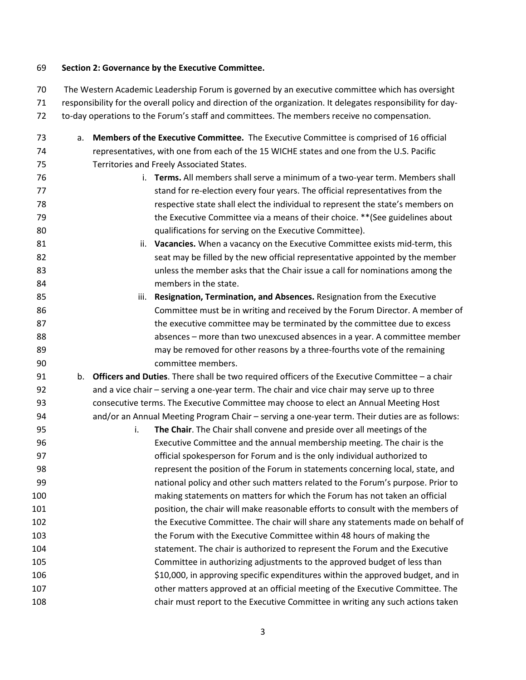### **Section 2: Governance by the Executive Committee.**

 The Western Academic Leadership Forum is governed by an executive committee which has oversight responsibility for the overall policy and direction of the organization. It delegates responsibility for day-to-day operations to the Forum's staff and committees. The members receive no compensation.

 a. **Members of the Executive Committee.** The Executive Committee is comprised of 16 official representatives, with one from each of the 15 WICHE states and one from the U.S. Pacific Territories and Freely Associated States. i. **Terms.** All members shall serve a minimum of a two-year term. Members shall stand for re-election every four years. The official representatives from the respective state shall elect the individual to represent the state's members on the Executive Committee via a means of their choice. \*\*(See guidelines about qualifications for serving on the Executive Committee). ii. **Vacancies.** When a vacancy on the Executive Committee exists mid-term, this seat may be filled by the new official representative appointed by the member unless the member asks that the Chair issue a call for nominations among the members in the state. iii. **Resignation, Termination, and Absences.** Resignation from the Executive Committee must be in writing and received by the Forum Director. A member of the executive committee may be terminated by the committee due to excess absences – more than two unexcused absences in a year. A committee member may be removed for other reasons by a three-fourths vote of the remaining committee members. b. **Officers and Duties**. There shall be two required officers of the Executive Committee – a chair and a vice chair – serving a one-year term. The chair and vice chair may serve up to three consecutive terms. The Executive Committee may choose to elect an Annual Meeting Host and/or an Annual Meeting Program Chair – serving a one-year term. Their duties are as follows: i. **The Chair**. The Chair shall convene and preside over all meetings of the Executive Committee and the annual membership meeting. The chair is the official spokesperson for Forum and is the only individual authorized to represent the position of the Forum in statements concerning local, state, and national policy and other such matters related to the Forum's purpose. Prior to making statements on matters for which the Forum has not taken an official position, the chair will make reasonable efforts to consult with the members of the Executive Committee. The chair will share any statements made on behalf of the Forum with the Executive Committee within 48 hours of making the statement. The chair is authorized to represent the Forum and the Executive Committee in authorizing adjustments to the approved budget of less than \$10,000, in approving specific expenditures within the approved budget, and in other matters approved at an official meeting of the Executive Committee. The chair must report to the Executive Committee in writing any such actions taken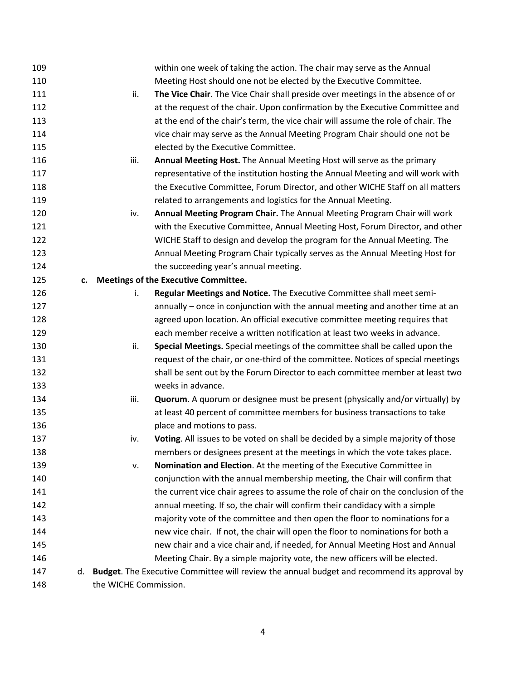| 109 |    |                       | within one week of taking the action. The chair may serve as the Annual                     |
|-----|----|-----------------------|---------------------------------------------------------------------------------------------|
| 110 |    |                       | Meeting Host should one not be elected by the Executive Committee.                          |
| 111 |    | ii.                   | The Vice Chair. The Vice Chair shall preside over meetings in the absence of or             |
| 112 |    |                       | at the request of the chair. Upon confirmation by the Executive Committee and               |
| 113 |    |                       | at the end of the chair's term, the vice chair will assume the role of chair. The           |
| 114 |    |                       | vice chair may serve as the Annual Meeting Program Chair should one not be                  |
| 115 |    |                       | elected by the Executive Committee.                                                         |
| 116 |    | iii.                  | Annual Meeting Host. The Annual Meeting Host will serve as the primary                      |
| 117 |    |                       | representative of the institution hosting the Annual Meeting and will work with             |
| 118 |    |                       | the Executive Committee, Forum Director, and other WICHE Staff on all matters               |
| 119 |    |                       | related to arrangements and logistics for the Annual Meeting.                               |
| 120 |    | iv.                   | Annual Meeting Program Chair. The Annual Meeting Program Chair will work                    |
| 121 |    |                       | with the Executive Committee, Annual Meeting Host, Forum Director, and other                |
| 122 |    |                       | WICHE Staff to design and develop the program for the Annual Meeting. The                   |
| 123 |    |                       | Annual Meeting Program Chair typically serves as the Annual Meeting Host for                |
| 124 |    |                       | the succeeding year's annual meeting.                                                       |
| 125 |    |                       | c. Meetings of the Executive Committee.                                                     |
| 126 |    | i.                    | Regular Meetings and Notice. The Executive Committee shall meet semi-                       |
| 127 |    |                       | annually – once in conjunction with the annual meeting and another time at an               |
| 128 |    |                       | agreed upon location. An official executive committee meeting requires that                 |
| 129 |    |                       | each member receive a written notification at least two weeks in advance.                   |
| 130 |    | ii.                   | Special Meetings. Special meetings of the committee shall be called upon the                |
| 131 |    |                       | request of the chair, or one-third of the committee. Notices of special meetings            |
| 132 |    |                       | shall be sent out by the Forum Director to each committee member at least two               |
| 133 |    |                       | weeks in advance.                                                                           |
| 134 |    | iii.                  | <b>Quorum.</b> A quorum or designee must be present (physically and/or virtually) by        |
| 135 |    |                       | at least 40 percent of committee members for business transactions to take                  |
| 136 |    |                       | place and motions to pass.                                                                  |
| 137 |    | iv.                   | Voting. All issues to be voted on shall be decided by a simple majority of those            |
| 138 |    |                       | members or designees present at the meetings in which the vote takes place.                 |
| 139 |    | v.                    | Nomination and Election. At the meeting of the Executive Committee in                       |
| 140 |    |                       | conjunction with the annual membership meeting, the Chair will confirm that                 |
| 141 |    |                       | the current vice chair agrees to assume the role of chair on the conclusion of the          |
| 142 |    |                       | annual meeting. If so, the chair will confirm their candidacy with a simple                 |
| 143 |    |                       | majority vote of the committee and then open the floor to nominations for a                 |
| 144 |    |                       | new vice chair. If not, the chair will open the floor to nominations for both a             |
| 145 |    |                       | new chair and a vice chair and, if needed, for Annual Meeting Host and Annual               |
| 146 |    |                       | Meeting Chair. By a simple majority vote, the new officers will be elected.                 |
| 147 | d. |                       | Budget. The Executive Committee will review the annual budget and recommend its approval by |
| 148 |    | the WICHE Commission. |                                                                                             |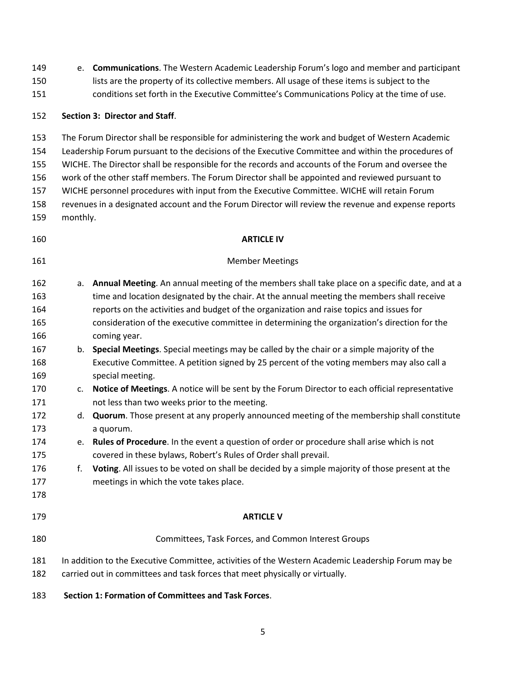| 149<br>150<br>151 | e.                                                                                                 | Communications. The Western Academic Leadership Forum's logo and member and participant<br>lists are the property of its collective members. All usage of these items is subject to the<br>conditions set forth in the Executive Committee's Communications Policy at the time of use. |  |  |  |  |
|-------------------|----------------------------------------------------------------------------------------------------|----------------------------------------------------------------------------------------------------------------------------------------------------------------------------------------------------------------------------------------------------------------------------------------|--|--|--|--|
|                   |                                                                                                    |                                                                                                                                                                                                                                                                                        |  |  |  |  |
| 152               |                                                                                                    | Section 3: Director and Staff.                                                                                                                                                                                                                                                         |  |  |  |  |
| 153               |                                                                                                    | The Forum Director shall be responsible for administering the work and budget of Western Academic                                                                                                                                                                                      |  |  |  |  |
| 154               | Leadership Forum pursuant to the decisions of the Executive Committee and within the procedures of |                                                                                                                                                                                                                                                                                        |  |  |  |  |
| 155               | WICHE. The Director shall be responsible for the records and accounts of the Forum and oversee the |                                                                                                                                                                                                                                                                                        |  |  |  |  |
| 156               |                                                                                                    | work of the other staff members. The Forum Director shall be appointed and reviewed pursuant to                                                                                                                                                                                        |  |  |  |  |
| 157               |                                                                                                    | WICHE personnel procedures with input from the Executive Committee. WICHE will retain Forum                                                                                                                                                                                            |  |  |  |  |
| 158               |                                                                                                    | revenues in a designated account and the Forum Director will review the revenue and expense reports                                                                                                                                                                                    |  |  |  |  |
| 159               | monthly.                                                                                           |                                                                                                                                                                                                                                                                                        |  |  |  |  |
| 160               |                                                                                                    | <b>ARTICLE IV</b>                                                                                                                                                                                                                                                                      |  |  |  |  |
| 161               |                                                                                                    | <b>Member Meetings</b>                                                                                                                                                                                                                                                                 |  |  |  |  |
| 162               | a.                                                                                                 | Annual Meeting. An annual meeting of the members shall take place on a specific date, and at a                                                                                                                                                                                         |  |  |  |  |
| 163               |                                                                                                    | time and location designated by the chair. At the annual meeting the members shall receive                                                                                                                                                                                             |  |  |  |  |
| 164               |                                                                                                    | reports on the activities and budget of the organization and raise topics and issues for                                                                                                                                                                                               |  |  |  |  |
| 165               |                                                                                                    | consideration of the executive committee in determining the organization's direction for the                                                                                                                                                                                           |  |  |  |  |
| 166               |                                                                                                    | coming year.                                                                                                                                                                                                                                                                           |  |  |  |  |
| 167               | b.                                                                                                 | Special Meetings. Special meetings may be called by the chair or a simple majority of the                                                                                                                                                                                              |  |  |  |  |
| 168               |                                                                                                    | Executive Committee. A petition signed by 25 percent of the voting members may also call a                                                                                                                                                                                             |  |  |  |  |
| 169               |                                                                                                    | special meeting.                                                                                                                                                                                                                                                                       |  |  |  |  |
| 170               | c.                                                                                                 | Notice of Meetings. A notice will be sent by the Forum Director to each official representative                                                                                                                                                                                        |  |  |  |  |
| 171               |                                                                                                    | not less than two weeks prior to the meeting.                                                                                                                                                                                                                                          |  |  |  |  |
| 172               | d.                                                                                                 | Quorum. Those present at any properly announced meeting of the membership shall constitute                                                                                                                                                                                             |  |  |  |  |
| 173               |                                                                                                    | a quorum.                                                                                                                                                                                                                                                                              |  |  |  |  |
| 174               | е.                                                                                                 | Rules of Procedure. In the event a question of order or procedure shall arise which is not                                                                                                                                                                                             |  |  |  |  |
| 175               |                                                                                                    | covered in these bylaws, Robert's Rules of Order shall prevail.                                                                                                                                                                                                                        |  |  |  |  |
| 176               | f.                                                                                                 | Voting. All issues to be voted on shall be decided by a simple majority of those present at the                                                                                                                                                                                        |  |  |  |  |
| 177               |                                                                                                    | meetings in which the vote takes place.                                                                                                                                                                                                                                                |  |  |  |  |
| 178               |                                                                                                    |                                                                                                                                                                                                                                                                                        |  |  |  |  |
| 179               |                                                                                                    | <b>ARTICLE V</b>                                                                                                                                                                                                                                                                       |  |  |  |  |
| 180               |                                                                                                    | Committees, Task Forces, and Common Interest Groups                                                                                                                                                                                                                                    |  |  |  |  |
| 181               |                                                                                                    | In addition to the Executive Committee, activities of the Western Academic Leadership Forum may be                                                                                                                                                                                     |  |  |  |  |
| 182               |                                                                                                    | carried out in committees and task forces that meet physically or virtually.                                                                                                                                                                                                           |  |  |  |  |
| 183               |                                                                                                    | Section 1: Formation of Committees and Task Forces.                                                                                                                                                                                                                                    |  |  |  |  |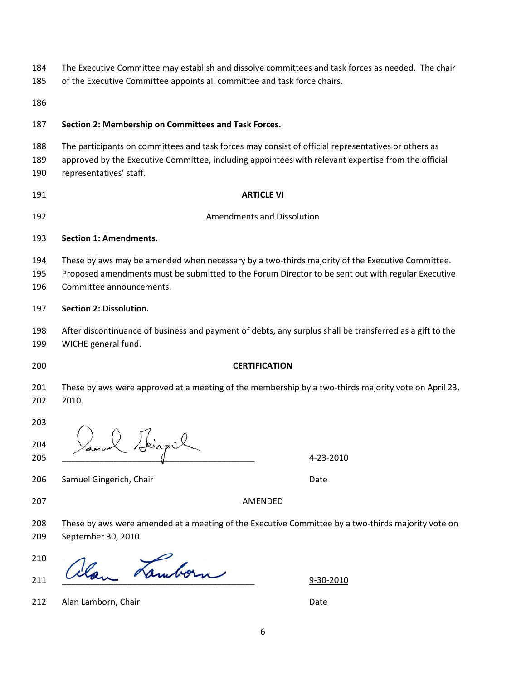| The Executive Committee may establish and dissolve committees and task forces as needed. The chair | 184 |  |  |  |  |  |  |
|----------------------------------------------------------------------------------------------------|-----|--|--|--|--|--|--|
|----------------------------------------------------------------------------------------------------|-----|--|--|--|--|--|--|

- of the Executive Committee appoints all committee and task force chairs.
- 

# **Section 2: Membership on Committees and Task Forces.**

- The participants on committees and task forces may consist of official representatives or others as
- approved by the Executive Committee, including appointees with relevant expertise from the official representatives' staff.
- 

# **ARTICLE VI**

Amendments and Dissolution

## **Section 1: Amendments.**

- These bylaws may be amended when necessary by a two-thirds majority of the Executive Committee.
- Proposed amendments must be submitted to the Forum Director to be sent out with regular Executive Committee announcements.

## **Section 2: Dissolution.**

- After discontinuance of business and payment of debts, any surplus shall be transferred as a gift to the WICHE general fund.
- 

# **CERTIFICATION**

- These bylaws were approved at a meeting of the membership by a two-thirds majority vote on April 23, 2010.
- 

205  $\sqrt{}$ 

206 Samuel Gingerich, Chair Date and Chair Date Date

AMENDED

 These bylaws were amended at a meeting of the Executive Committee by a two-thirds majority vote on September 30, 2010.

  $\frac{210}{211}$  allow Lamborn 9-30-2010

Jeinpil

212 Alan Lamborn, Chair Date and Chair Date Date Date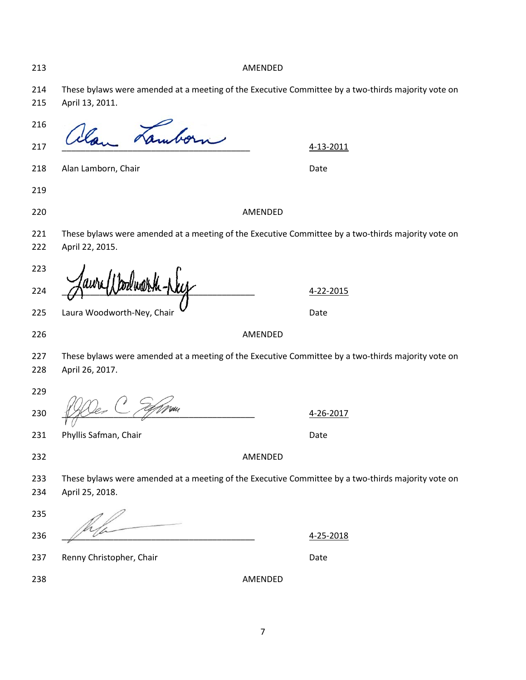AMENDED

 These bylaws were amended at a meeting of the Executive Committee by a two-thirds majority vote on April 13, 2011.

  $\frac{210}{217}$  allan Lamborn 4-13-2011 218 Alan Lamborn, Chair Date and Chair Date AMENDED 221 These bylaws were amended at a meeting of the Executive Committee by a two-thirds majority vote on April 22, 2015. a-22-2015 225 Laura Woodworth-Ney, Chair Discount of the United State AMENDED 227 These bylaws were amended at a meeting of the Executive Committee by a two-thirds majority vote on April 26, 2017.  $12$   $2017$ 231 Phyllis Safman, Chair Date Date Date AMENDED These bylaws were amended at a meeting of the Executive Committee by a two-thirds majority vote on April 25, 2018.  $4-25-2018$ 237 Renny Christopher, Chair Date Chair Date AMENDED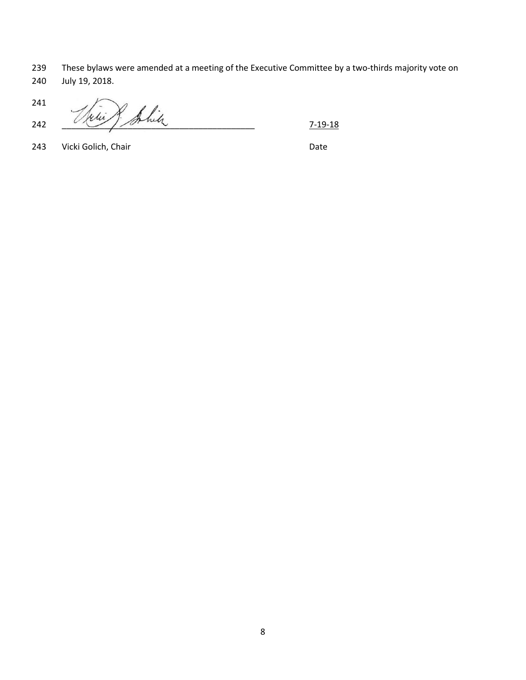These bylaws were amended at a meeting of the Executive Committee by a two-thirds majority vote on July 19, 2018.

 241 Arie Robin

243 Vicki Golich, Chair Date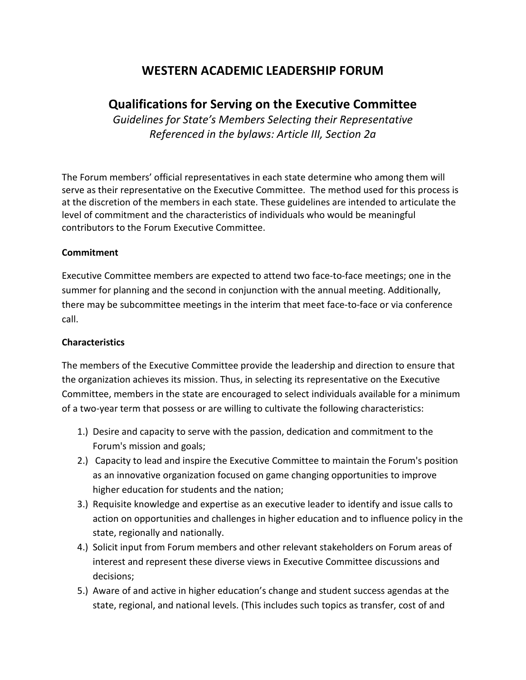# **WESTERN ACADEMIC LEADERSHIP FORUM**

# **Qualifications for Serving on the Executive Committee**

*Guidelines for State's Members Selecting their Representative Referenced in the bylaws: Article III, Section 2a*

The Forum members' official representatives in each state determine who among them will serve as their representative on the Executive Committee. The method used for this process is at the discretion of the members in each state. These guidelines are intended to articulate the level of commitment and the characteristics of individuals who would be meaningful contributors to the Forum Executive Committee.

# **Commitment**

Executive Committee members are expected to attend two face-to-face meetings; one in the summer for planning and the second in conjunction with the annual meeting. Additionally, there may be subcommittee meetings in the interim that meet face-to-face or via conference call.

# **Characteristics**

The members of the Executive Committee provide the leadership and direction to ensure that the organization achieves its mission. Thus, in selecting its representative on the Executive Committee, members in the state are encouraged to select individuals available for a minimum of a two-year term that possess or are willing to cultivate the following characteristics:

- 1.) Desire and capacity to serve with the passion, dedication and commitment to the Forum's mission and goals;
- 2.) Capacity to lead and inspire the Executive Committee to maintain the Forum's position as an innovative organization focused on game changing opportunities to improve higher education for students and the nation;
- 3.) Requisite knowledge and expertise as an executive leader to identify and issue calls to action on opportunities and challenges in higher education and to influence policy in the state, regionally and nationally.
- 4.) Solicit input from Forum members and other relevant stakeholders on Forum areas of interest and represent these diverse views in Executive Committee discussions and decisions;
- 5.) Aware of and active in higher education's change and student success agendas at the state, regional, and national levels. (This includes such topics as transfer, cost of and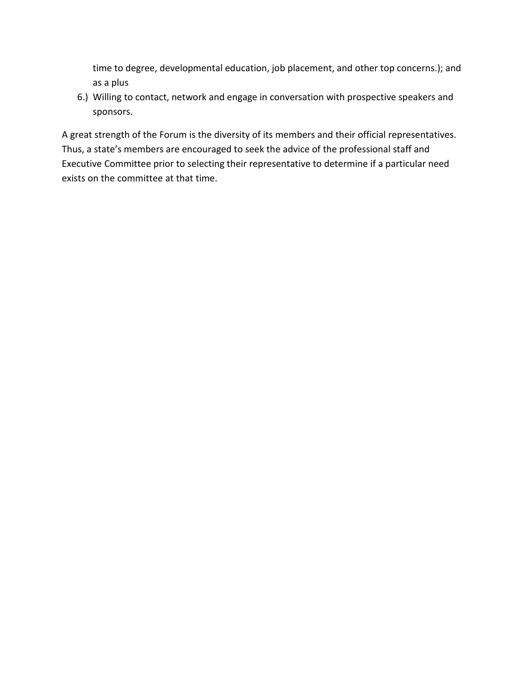time to degree, developmental education, job placement, and other top concerns.); and as a plus

6.) Willing to contact, network and engage in conversation with prospective speakers and sponsors.

A great strength of the Forum is the diversity of its members and their official representatives. Thus, a state's members are encouraged to seek the advice of the professional staff and Executive Committee prior to selecting their representative to determine if a particular need exists on the committee at that time.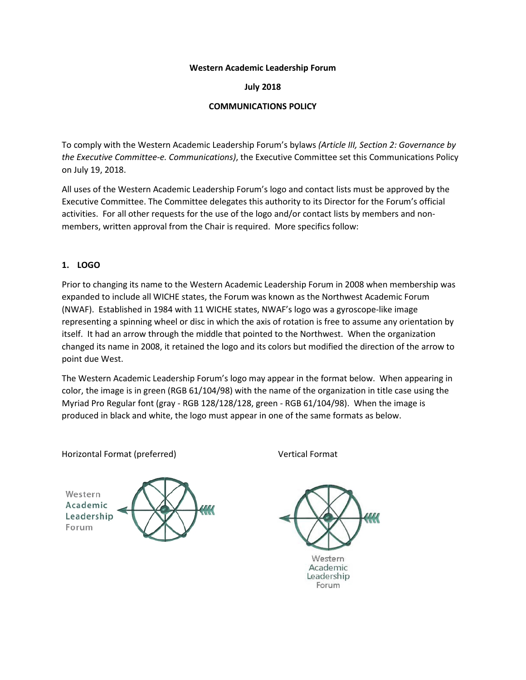#### **Western Academic Leadership Forum**

### **July 2018**

## **COMMUNICATIONS POLICY**

To comply with the Western Academic Leadership Forum's bylaws *(Article III, Section 2: Governance by the Executive Committee-e. Communications)*, the Executive Committee set this Communications Policy on July 19, 2018.

All uses of the Western Academic Leadership Forum's logo and contact lists must be approved by the Executive Committee. The Committee delegates this authority to its Director for the Forum's official activities. For all other requests for the use of the logo and/or contact lists by members and nonmembers, written approval from the Chair is required. More specifics follow:

### **1. LOGO**

Prior to changing its name to the Western Academic Leadership Forum in 2008 when membership was expanded to include all WICHE states, the Forum was known as the Northwest Academic Forum (NWAF). Established in 1984 with 11 WICHE states, NWAF's logo was a gyroscope-like image representing a spinning wheel or disc in which the axis of rotation is free to assume any orientation by itself. It had an arrow through the middle that pointed to the Northwest. When the organization changed its name in 2008, it retained the logo and its colors but modified the direction of the arrow to point due West.

The Western Academic Leadership Forum's logo may appear in the format below. When appearing in color, the image is in green (RGB 61/104/98) with the name of the organization in title case using the Myriad Pro Regular font (gray - RGB 128/128/128, green - RGB 61/104/98). When the image is produced in black and white, the logo must appear in one of the same formats as below.

Horizontal Format (preferred) Vertical Format





Academic Leadership Forum